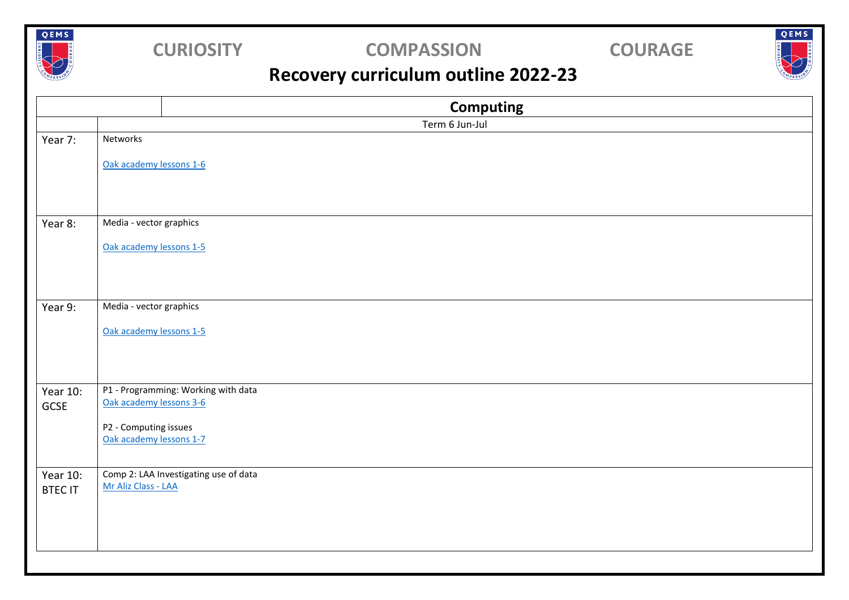

## **CURIOSITY COMPASSION COURAGE**

QEMS

## **Recovery curriculum outline 2022-23**

|                            | <b>Computing</b>                                             |
|----------------------------|--------------------------------------------------------------|
|                            | Term 6 Jun-Jul                                               |
| Year 7:                    | Networks                                                     |
|                            | Oak academy lessons 1-6                                      |
| Year 8:                    | Media - vector graphics                                      |
|                            | Oak academy lessons 1-5                                      |
| Year 9:                    | Media - vector graphics<br>Oak academy lessons 1-5           |
| Year 10:                   | P1 - Programming: Working with data                          |
| GCSE                       | Oak academy lessons 3-6                                      |
|                            | P2 - Computing issues<br>Oak academy lessons 1-7             |
| Year 10:<br><b>BTEC IT</b> | Comp 2: LAA Investigating use of data<br>Mr Aliz Class - LAA |
|                            |                                                              |
|                            |                                                              |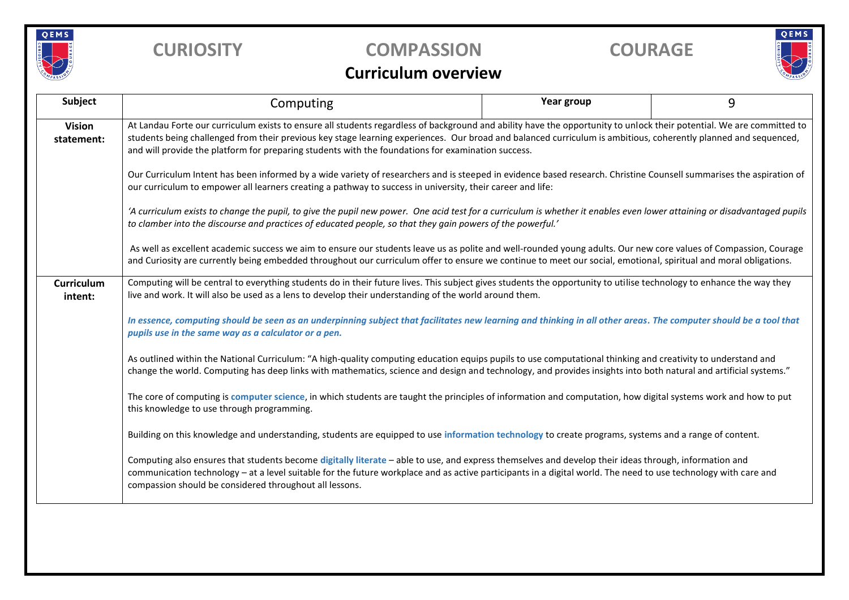

## **CURIOSITY COMPASSION COURAGE**

# QEMS

## **Curriculum overview**

| <b>Subject</b>               | Computing                                                                                                                                                                                                                                                                                                                                                                                                                                      | Year group | 9 |  |  |  |
|------------------------------|------------------------------------------------------------------------------------------------------------------------------------------------------------------------------------------------------------------------------------------------------------------------------------------------------------------------------------------------------------------------------------------------------------------------------------------------|------------|---|--|--|--|
| <b>Vision</b><br>statement:  | At Landau Forte our curriculum exists to ensure all students regardless of background and ability have the opportunity to unlock their potential. We are committed to<br>students being challenged from their previous key stage learning experiences. Our broad and balanced curriculum is ambitious, coherently planned and sequenced,<br>and will provide the platform for preparing students with the foundations for examination success. |            |   |  |  |  |
|                              | Our Curriculum Intent has been informed by a wide variety of researchers and is steeped in evidence based research. Christine Counsell summarises the aspiration of<br>our curriculum to empower all learners creating a pathway to success in university, their career and life:                                                                                                                                                              |            |   |  |  |  |
|                              | 'A curriculum exists to change the pupil, to give the pupil new power. One acid test for a curriculum is whether it enables even lower attaining or disadvantaged pupils<br>to clamber into the discourse and practices of educated people, so that they gain powers of the powerful.'                                                                                                                                                         |            |   |  |  |  |
|                              | As well as excellent academic success we aim to ensure our students leave us as polite and well-rounded young adults. Our new core values of Compassion, Courage<br>and Curiosity are currently being embedded throughout our curriculum offer to ensure we continue to meet our social, emotional, spiritual and moral obligations.                                                                                                           |            |   |  |  |  |
| <b>Curriculum</b><br>intent: | Computing will be central to everything students do in their future lives. This subject gives students the opportunity to utilise technology to enhance the way they<br>live and work. It will also be used as a lens to develop their understanding of the world around them.                                                                                                                                                                 |            |   |  |  |  |
|                              | In essence, computing should be seen as an underpinning subject that facilitates new learning and thinking in all other areas. The computer should be a tool that<br>pupils use in the same way as a calculator or a pen.                                                                                                                                                                                                                      |            |   |  |  |  |
|                              | As outlined within the National Curriculum: "A high-quality computing education equips pupils to use computational thinking and creativity to understand and<br>change the world. Computing has deep links with mathematics, science and design and technology, and provides insights into both natural and artificial systems."                                                                                                               |            |   |  |  |  |
|                              | The core of computing is computer science, in which students are taught the principles of information and computation, how digital systems work and how to put<br>this knowledge to use through programming.                                                                                                                                                                                                                                   |            |   |  |  |  |
|                              | Building on this knowledge and understanding, students are equipped to use information technology to create programs, systems and a range of content.                                                                                                                                                                                                                                                                                          |            |   |  |  |  |
|                              | Computing also ensures that students become digitally literate - able to use, and express themselves and develop their ideas through, information and<br>communication technology – at a level suitable for the future workplace and as active participants in a digital world. The need to use technology with care and<br>compassion should be considered throughout all lessons.                                                            |            |   |  |  |  |
|                              |                                                                                                                                                                                                                                                                                                                                                                                                                                                |            |   |  |  |  |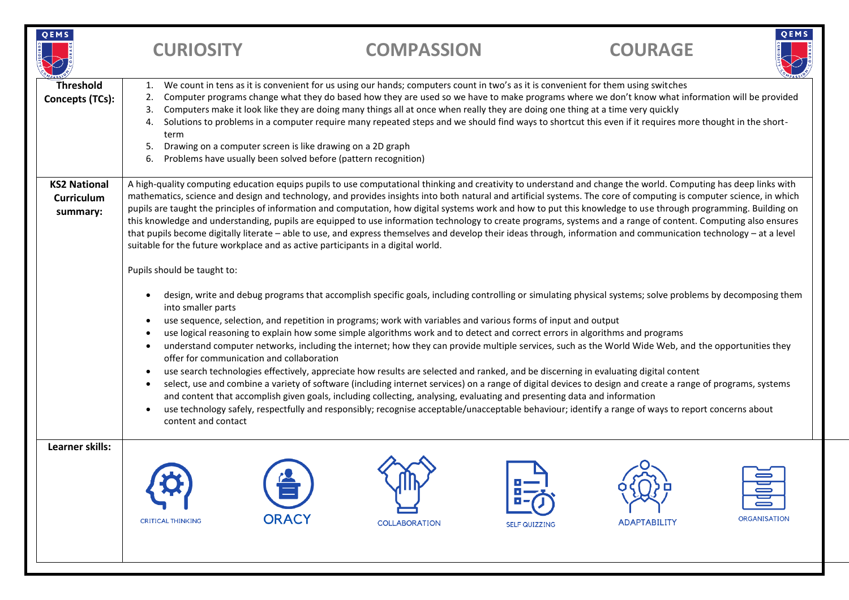| <b>OEMS</b>                                          | <b>CURIOSITY</b>                                                                                                                                                                                                                                                                                                                                                                                                                                                                                                                                                                                                                                                                                                                                                                                                                                                                                                                                                                                                                                                                                                                                                                                                                                                                                                         | <b>COMPASSION</b>                                                                                                                                                                                                                                                                                                                                                                                                                                                                                                                                                                                                                                                                                                 |                      | <b>COURAGE</b>      | QEMS                                  |
|------------------------------------------------------|--------------------------------------------------------------------------------------------------------------------------------------------------------------------------------------------------------------------------------------------------------------------------------------------------------------------------------------------------------------------------------------------------------------------------------------------------------------------------------------------------------------------------------------------------------------------------------------------------------------------------------------------------------------------------------------------------------------------------------------------------------------------------------------------------------------------------------------------------------------------------------------------------------------------------------------------------------------------------------------------------------------------------------------------------------------------------------------------------------------------------------------------------------------------------------------------------------------------------------------------------------------------------------------------------------------------------|-------------------------------------------------------------------------------------------------------------------------------------------------------------------------------------------------------------------------------------------------------------------------------------------------------------------------------------------------------------------------------------------------------------------------------------------------------------------------------------------------------------------------------------------------------------------------------------------------------------------------------------------------------------------------------------------------------------------|----------------------|---------------------|---------------------------------------|
| Threshold<br>Concepts (TCs):                         | 1.<br>2.<br>3.<br>4.<br>term<br>5.<br>6.                                                                                                                                                                                                                                                                                                                                                                                                                                                                                                                                                                                                                                                                                                                                                                                                                                                                                                                                                                                                                                                                                                                                                                                                                                                                                 | We count in tens as it is convenient for us using our hands; computers count in two's as it is convenient for them using switches<br>Computer programs change what they do based how they are used so we have to make programs where we don't know what information will be provided<br>Computers make it look like they are doing many things all at once when really they are doing one thing at a time very quickly<br>Solutions to problems in a computer require many repeated steps and we should find ways to shortcut this even if it requires more thought in the short-<br>Drawing on a computer screen is like drawing on a 2D graph<br>Problems have usually been solved before (pattern recognition) |                      |                     |                                       |
| <b>KS2 National</b><br><b>Curriculum</b><br>summary: | A high-quality computing education equips pupils to use computational thinking and creativity to understand and change the world. Computing has deep links with<br>mathematics, science and design and technology, and provides insights into both natural and artificial systems. The core of computing is computer science, in which<br>pupils are taught the principles of information and computation, how digital systems work and how to put this knowledge to use through programming. Building on<br>this knowledge and understanding, pupils are equipped to use information technology to create programs, systems and a range of content. Computing also ensures<br>that pupils become digitally literate - able to use, and express themselves and develop their ideas through, information and communication technology - at a level<br>suitable for the future workplace and as active participants in a digital world.<br>Pupils should be taught to:                                                                                                                                                                                                                                                                                                                                                     |                                                                                                                                                                                                                                                                                                                                                                                                                                                                                                                                                                                                                                                                                                                   |                      |                     |                                       |
|                                                      | design, write and debug programs that accomplish specific goals, including controlling or simulating physical systems; solve problems by decomposing them<br>$\bullet$<br>into smaller parts<br>use sequence, selection, and repetition in programs; work with variables and various forms of input and output<br>$\bullet$<br>use logical reasoning to explain how some simple algorithms work and to detect and correct errors in algorithms and programs<br>$\bullet$<br>understand computer networks, including the internet; how they can provide multiple services, such as the World Wide Web, and the opportunities they<br>$\bullet$<br>offer for communication and collaboration<br>use search technologies effectively, appreciate how results are selected and ranked, and be discerning in evaluating digital content<br>$\bullet$<br>select, use and combine a variety of software (including internet services) on a range of digital devices to design and create a range of programs, systems<br>and content that accomplish given goals, including collecting, analysing, evaluating and presenting data and information<br>use technology safely, respectfully and responsibly; recognise acceptable/unacceptable behaviour; identify a range of ways to report concerns about<br>content and contact |                                                                                                                                                                                                                                                                                                                                                                                                                                                                                                                                                                                                                                                                                                                   |                      |                     |                                       |
| Learner skills:                                      | <b>CRITICAL THINKING</b>                                                                                                                                                                                                                                                                                                                                                                                                                                                                                                                                                                                                                                                                                                                                                                                                                                                                                                                                                                                                                                                                                                                                                                                                                                                                                                 | <b>ORACY</b><br><b>COLLABORATION</b>                                                                                                                                                                                                                                                                                                                                                                                                                                                                                                                                                                                                                                                                              | <b>SELF QUIZZING</b> | <b>ADAPTABILITY</b> | $\blacksquare$<br><b>ORGANISATION</b> |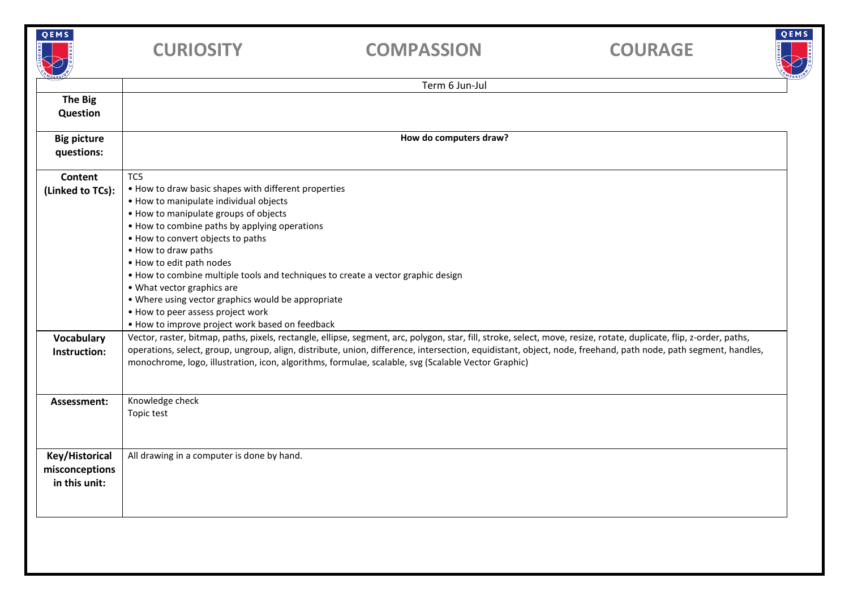| QEMS                                              | <b>CURIOSITY</b>                                                                                                                                                                                                                                                                                                                                                                                                                                                                                                                                        | <b>COMPASSION</b>                                                                                                                                                                                                                                                                                                                                                                                                                             | QEMS<br><b>COURAGE</b> |  |  |
|---------------------------------------------------|---------------------------------------------------------------------------------------------------------------------------------------------------------------------------------------------------------------------------------------------------------------------------------------------------------------------------------------------------------------------------------------------------------------------------------------------------------------------------------------------------------------------------------------------------------|-----------------------------------------------------------------------------------------------------------------------------------------------------------------------------------------------------------------------------------------------------------------------------------------------------------------------------------------------------------------------------------------------------------------------------------------------|------------------------|--|--|
|                                                   |                                                                                                                                                                                                                                                                                                                                                                                                                                                                                                                                                         | Term 6 Jun-Jul                                                                                                                                                                                                                                                                                                                                                                                                                                |                        |  |  |
| <b>The Big</b><br><b>Question</b>                 |                                                                                                                                                                                                                                                                                                                                                                                                                                                                                                                                                         |                                                                                                                                                                                                                                                                                                                                                                                                                                               |                        |  |  |
| <b>Big picture</b><br>questions:                  | How do computers draw?                                                                                                                                                                                                                                                                                                                                                                                                                                                                                                                                  |                                                                                                                                                                                                                                                                                                                                                                                                                                               |                        |  |  |
| <b>Content</b><br>(Linked to TCs):                | TC5<br>. How to draw basic shapes with different properties<br>• How to manipulate individual objects<br>• How to manipulate groups of objects<br>• How to combine paths by applying operations<br>. How to convert objects to paths<br>. How to draw paths<br>. How to edit path nodes<br>• How to combine multiple tools and techniques to create a vector graphic design<br>• What vector graphics are<br>. Where using vector graphics would be appropriate<br>• How to peer assess project work<br>• How to improve project work based on feedback |                                                                                                                                                                                                                                                                                                                                                                                                                                               |                        |  |  |
| Vocabulary<br>Instruction:                        |                                                                                                                                                                                                                                                                                                                                                                                                                                                                                                                                                         | Vector, raster, bitmap, paths, pixels, rectangle, ellipse, segment, arc, polygon, star, fill, stroke, select, move, resize, rotate, duplicate, flip, z-order, paths,<br>operations, select, group, ungroup, align, distribute, union, difference, intersection, equidistant, object, node, freehand, path node, path segment, handles,<br>monochrome, logo, illustration, icon, algorithms, formulae, scalable, svg (Scalable Vector Graphic) |                        |  |  |
| Assessment:                                       | Knowledge check<br>Topic test                                                                                                                                                                                                                                                                                                                                                                                                                                                                                                                           |                                                                                                                                                                                                                                                                                                                                                                                                                                               |                        |  |  |
| Key/Historical<br>misconceptions<br>in this unit: | All drawing in a computer is done by hand.                                                                                                                                                                                                                                                                                                                                                                                                                                                                                                              |                                                                                                                                                                                                                                                                                                                                                                                                                                               |                        |  |  |